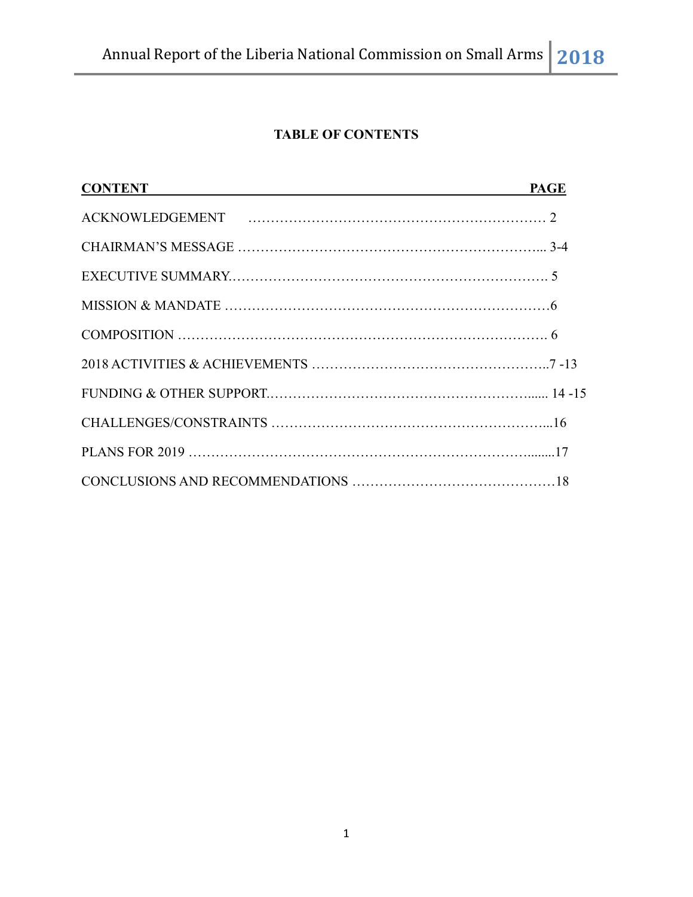# **TABLE OF CONTENTS**

| <b>CONTENT</b> | <b>PAGE</b> |
|----------------|-------------|
|                |             |
|                |             |
|                |             |
|                |             |
|                |             |
|                |             |
|                |             |
|                |             |
|                |             |
|                |             |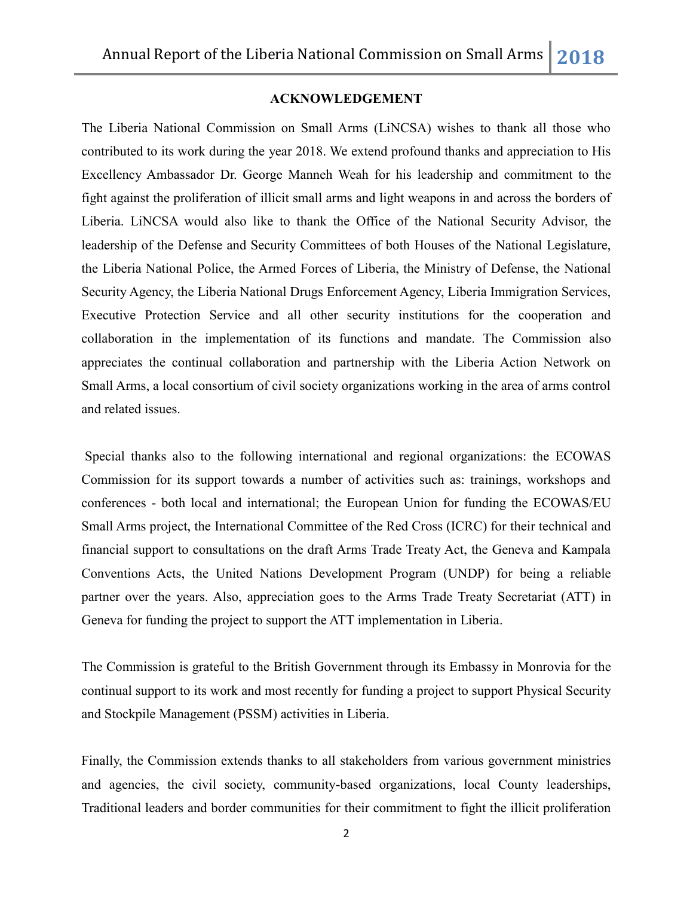## **ACKNOWLEDGEMENT**

The Liberia National Commission on Small Arms (LiNCSA) wishes to thank all those who contributed to its work during the year 2018. We extend profound thanks and appreciation to His Excellency Ambassador Dr. George Manneh Weah for his leadership and commitment to the fight against the proliferation of illicit small arms and light weapons in and across the borders of Liberia. LiNCSA would also like to thank the Office of the National Security Advisor, the leadership of the Defense and Security Committees of both Houses of the National Legislature, the Liberia National Police, the Armed Forces of Liberia, the Ministry of Defense, the National Security Agency, the Liberia National Drugs Enforcement Agency, Liberia Immigration Services, Executive Protection Service and all other security institutions for the cooperation and collaboration in the implementation of its functions and mandate. The Commission also appreciates the continual collaboration and partnership with the Liberia Action Network on Small Arms, a local consortium of civil society organizations working in the area of arms control and related issues.

Special thanks also to the following international and regional organizations: the ECOWAS Commission for its support towards a number of activities such as: trainings, workshops and conferences - both local and international; the European Union for funding the ECOWAS/EU Small Arms project, the International Committee of the Red Cross (ICRC) for their technical and financial support to consultations on the draft Arms Trade Treaty Act, the Geneva and Kampala Conventions Acts, the United Nations Development Program (UNDP) for being a reliable partner over the years. Also, appreciation goes to the Arms Trade Treaty Secretariat (ATT) in Geneva for funding the project to support the ATT implementation in Liberia.

The Commission is grateful to the British Government through its Embassy in Monrovia for the continual support to its work and most recently for funding a project to support Physical Security and Stockpile Management (PSSM) activities in Liberia.

Finally, the Commission extends thanks to all stakeholders from various government ministries and agencies, the civil society, community-based organizations, local County leaderships, Traditional leaders and border communities for their commitment to fight the illicit proliferation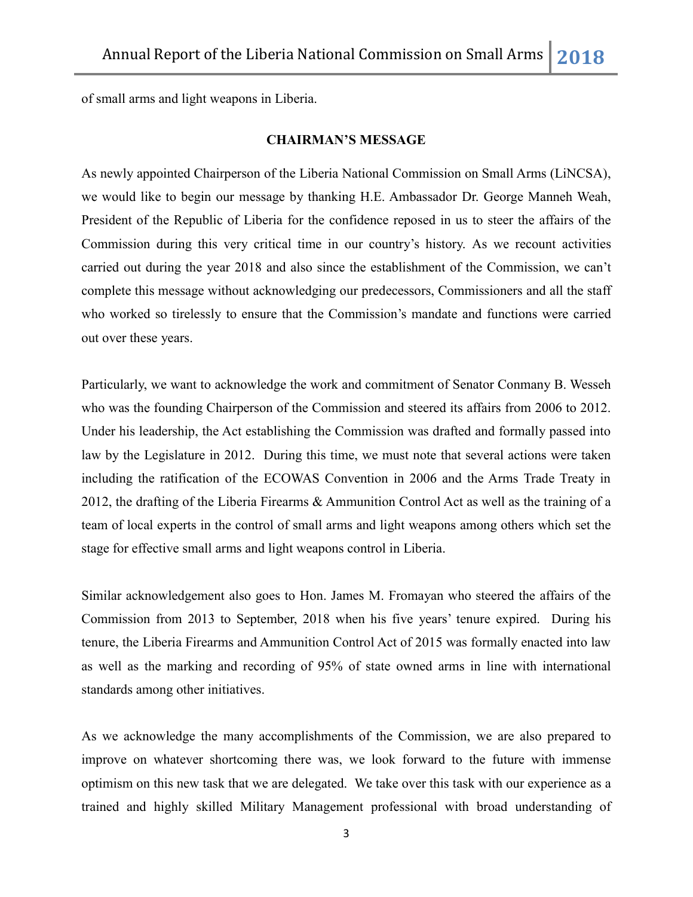of small arms and light weapons in Liberia.

#### **CHAIRMAN'S MESSAGE**

As newly appointed Chairperson of the Liberia National Commission on Small Arms (LiNCSA), we would like to begin our message by thanking H.E. Ambassador Dr. George Manneh Weah, President of the Republic of Liberia for the confidence reposed in us to steer the affairs of the Commission during this very critical time in our country"s history. As we recount activities carried out during the year 2018 and also since the establishment of the Commission, we can"t complete this message without acknowledging our predecessors, Commissioners and all the staff who worked so tirelessly to ensure that the Commission's mandate and functions were carried out over these years.

Particularly, we want to acknowledge the work and commitment of Senator Conmany B. Wesseh who was the founding Chairperson of the Commission and steered its affairs from 2006 to 2012. Under his leadership, the Act establishing the Commission was drafted and formally passed into law by the Legislature in 2012. During this time, we must note that several actions were taken including the ratification of the ECOWAS Convention in 2006 and the Arms Trade Treaty in 2012, the drafting of the Liberia Firearms & Ammunition Control Act as well as the training of a team of local experts in the control of small arms and light weapons among others which set the stage for effective small arms and light weapons control in Liberia.

Similar acknowledgement also goes to Hon. James M. Fromayan who steered the affairs of the Commission from 2013 to September, 2018 when his five years" tenure expired. During his tenure, the Liberia Firearms and Ammunition Control Act of 2015 was formally enacted into law as well as the marking and recording of 95% of state owned arms in line with international standards among other initiatives.

As we acknowledge the many accomplishments of the Commission, we are also prepared to improve on whatever shortcoming there was, we look forward to the future with immense optimism on this new task that we are delegated. We take over this task with our experience as a trained and highly skilled Military Management professional with broad understanding of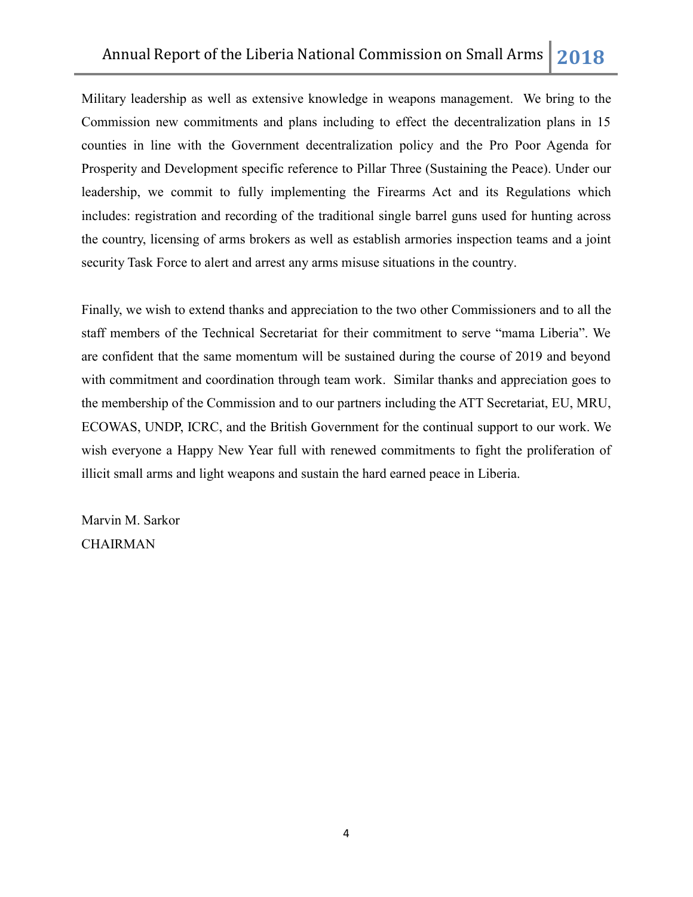Military leadership as well as extensive knowledge in weapons management. We bring to the Commission new commitments and plans including to effect the decentralization plans in 15 counties in line with the Government decentralization policy and the Pro Poor Agenda for Prosperity and Development specific reference to Pillar Three (Sustaining the Peace). Under our leadership, we commit to fully implementing the Firearms Act and its Regulations which includes: registration and recording of the traditional single barrel guns used for hunting across the country, licensing of arms brokers as well as establish armories inspection teams and a joint security Task Force to alert and arrest any arms misuse situations in the country.

Finally, we wish to extend thanks and appreciation to the two other Commissioners and to all the staff members of the Technical Secretariat for their commitment to serve "mama Liberia". We are confident that the same momentum will be sustained during the course of 2019 and beyond with commitment and coordination through team work. Similar thanks and appreciation goes to the membership of the Commission and to our partners including the ATT Secretariat, EU, MRU, ECOWAS, UNDP, ICRC, and the British Government for the continual support to our work. We wish everyone a Happy New Year full with renewed commitments to fight the proliferation of illicit small arms and light weapons and sustain the hard earned peace in Liberia.

Marvin M. Sarkor **CHAIRMAN**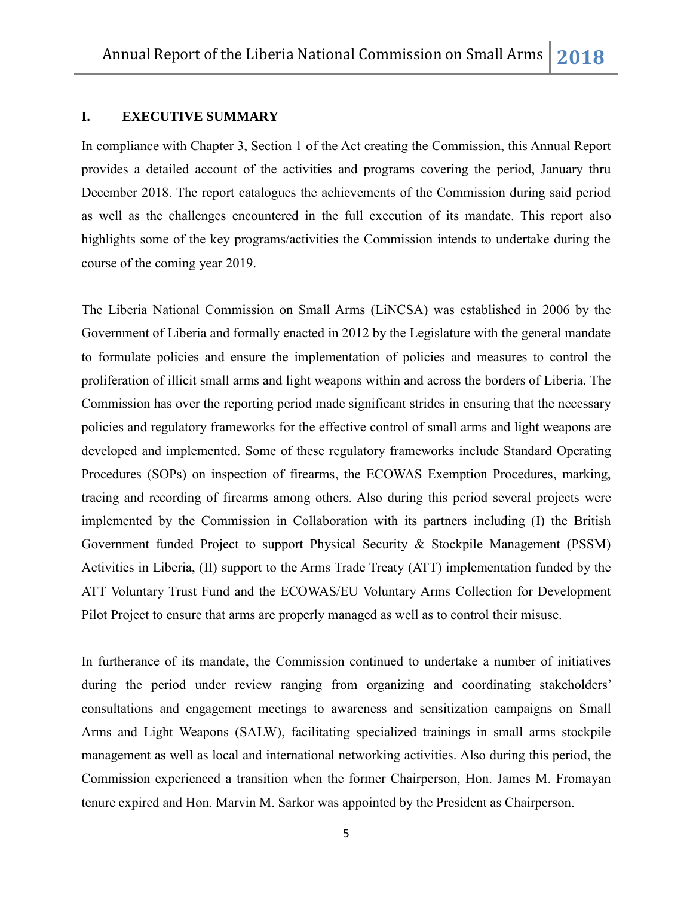#### **I. EXECUTIVE SUMMARY**

In compliance with Chapter 3, Section 1 of the Act creating the Commission, this Annual Report provides a detailed account of the activities and programs covering the period, January thru December 2018. The report catalogues the achievements of the Commission during said period as well as the challenges encountered in the full execution of its mandate. This report also highlights some of the key programs/activities the Commission intends to undertake during the course of the coming year 2019.

The Liberia National Commission on Small Arms (LiNCSA) was established in 2006 by the Government of Liberia and formally enacted in 2012 by the Legislature with the general mandate to formulate policies and ensure the implementation of policies and measures to control the proliferation of illicit small arms and light weapons within and across the borders of Liberia. The Commission has over the reporting period made significant strides in ensuring that the necessary policies and regulatory frameworks for the effective control of small arms and light weapons are developed and implemented. Some of these regulatory frameworks include Standard Operating Procedures (SOPs) on inspection of firearms, the ECOWAS Exemption Procedures, marking, tracing and recording of firearms among others. Also during this period several projects were implemented by the Commission in Collaboration with its partners including (I) the British Government funded Project to support Physical Security & Stockpile Management (PSSM) Activities in Liberia, (II) support to the Arms Trade Treaty (ATT) implementation funded by the ATT Voluntary Trust Fund and the ECOWAS/EU Voluntary Arms Collection for Development Pilot Project to ensure that arms are properly managed as well as to control their misuse.

In furtherance of its mandate, the Commission continued to undertake a number of initiatives during the period under review ranging from organizing and coordinating stakeholders' consultations and engagement meetings to awareness and sensitization campaigns on Small Arms and Light Weapons (SALW), facilitating specialized trainings in small arms stockpile management as well as local and international networking activities. Also during this period, the Commission experienced a transition when the former Chairperson, Hon. James M. Fromayan tenure expired and Hon. Marvin M. Sarkor was appointed by the President as Chairperson.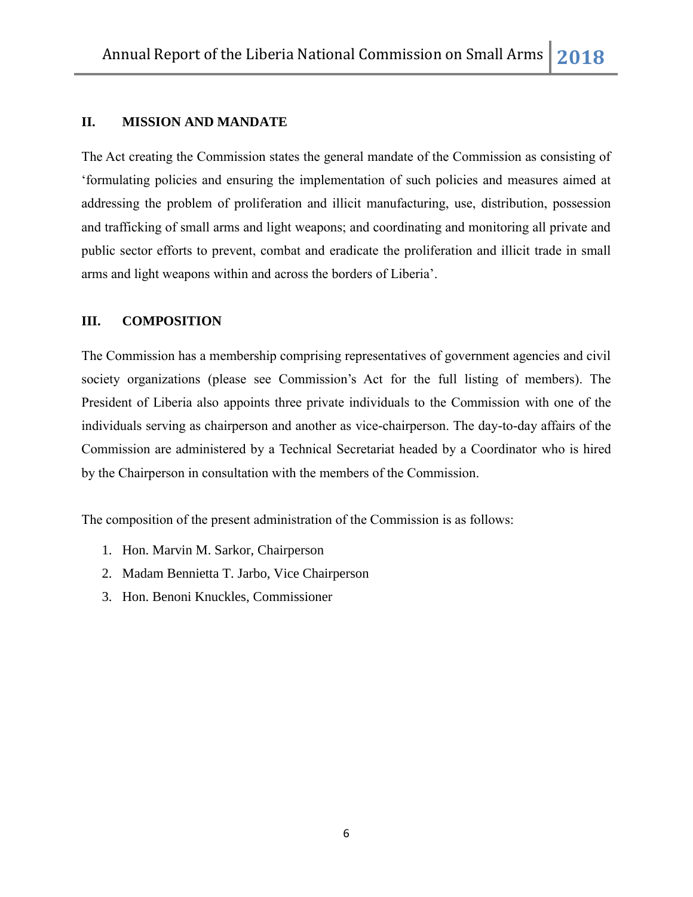# **II. MISSION AND MANDATE**

The Act creating the Commission states the general mandate of the Commission as consisting of "formulating policies and ensuring the implementation of such policies and measures aimed at addressing the problem of proliferation and illicit manufacturing, use, distribution, possession and trafficking of small arms and light weapons; and coordinating and monitoring all private and public sector efforts to prevent, combat and eradicate the proliferation and illicit trade in small arms and light weapons within and across the borders of Liberia".

## **III. COMPOSITION**

The Commission has a membership comprising representatives of government agencies and civil society organizations (please see Commission"s Act for the full listing of members). The President of Liberia also appoints three private individuals to the Commission with one of the individuals serving as chairperson and another as vice-chairperson. The day-to-day affairs of the Commission are administered by a Technical Secretariat headed by a Coordinator who is hired by the Chairperson in consultation with the members of the Commission.

The composition of the present administration of the Commission is as follows:

- 1. Hon. Marvin M. Sarkor, Chairperson
- 2. Madam Bennietta T. Jarbo, Vice Chairperson
- 3. Hon. Benoni Knuckles, Commissioner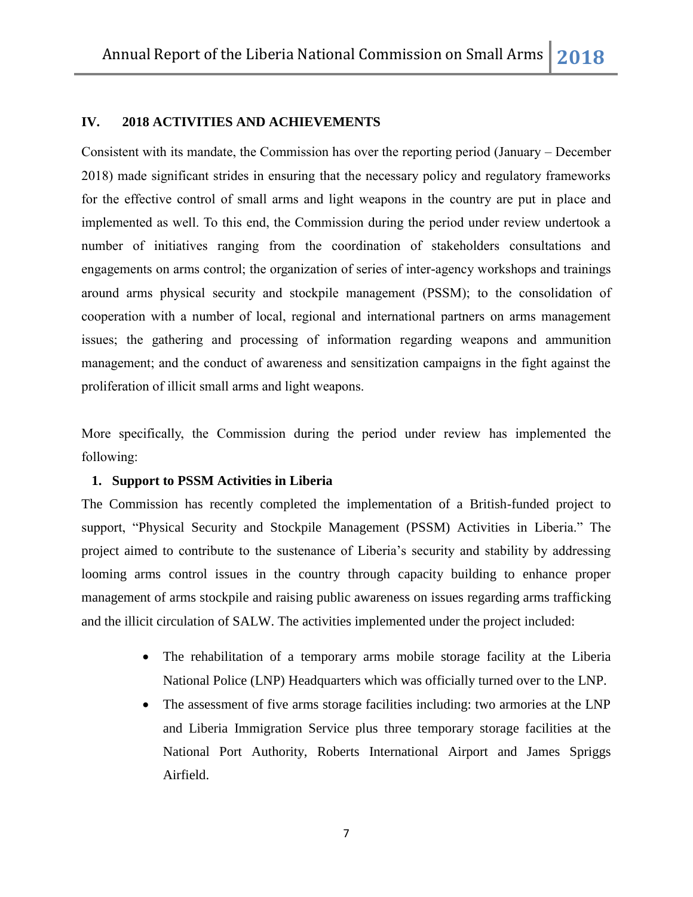## **IV. 2018 ACTIVITIES AND ACHIEVEMENTS**

Consistent with its mandate, the Commission has over the reporting period (January – December 2018) made significant strides in ensuring that the necessary policy and regulatory frameworks for the effective control of small arms and light weapons in the country are put in place and implemented as well. To this end, the Commission during the period under review undertook a number of initiatives ranging from the coordination of stakeholders consultations and engagements on arms control; the organization of series of inter-agency workshops and trainings around arms physical security and stockpile management (PSSM); to the consolidation of cooperation with a number of local, regional and international partners on arms management issues; the gathering and processing of information regarding weapons and ammunition management; and the conduct of awareness and sensitization campaigns in the fight against the proliferation of illicit small arms and light weapons.

More specifically, the Commission during the period under review has implemented the following:

## **1. Support to PSSM Activities in Liberia**

The Commission has recently completed the implementation of a British-funded project to support, "Physical Security and Stockpile Management (PSSM) Activities in Liberia." The project aimed to contribute to the sustenance of Liberia"s security and stability by addressing looming arms control issues in the country through capacity building to enhance proper management of arms stockpile and raising public awareness on issues regarding arms trafficking and the illicit circulation of SALW. The activities implemented under the project included:

- The rehabilitation of a temporary arms mobile storage facility at the Liberia National Police (LNP) Headquarters which was officially turned over to the LNP.
- The assessment of five arms storage facilities including: two armories at the LNP and Liberia Immigration Service plus three temporary storage facilities at the National Port Authority, Roberts International Airport and James Spriggs Airfield.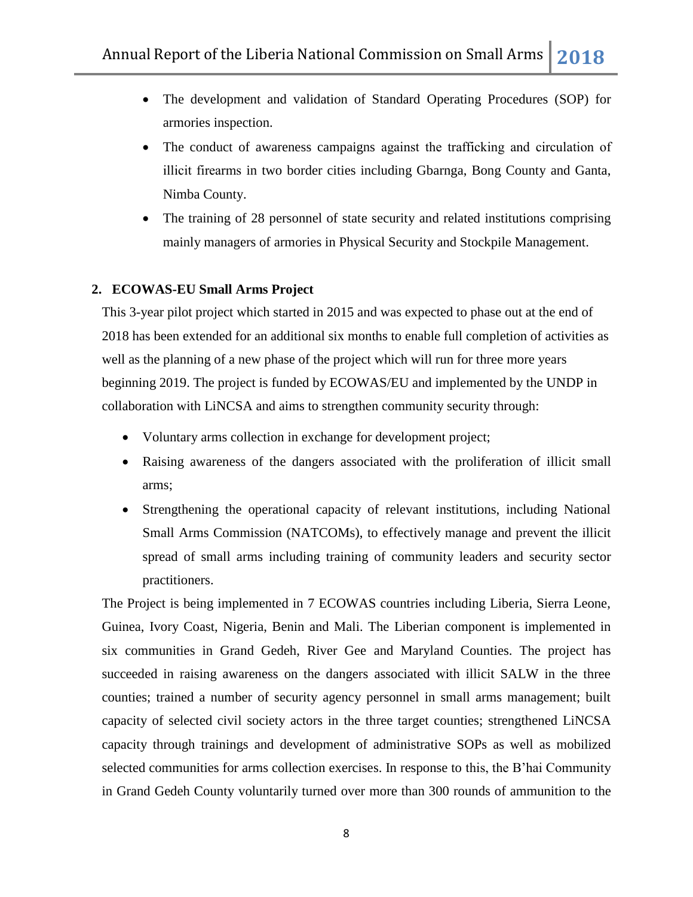- The development and validation of Standard Operating Procedures (SOP) for armories inspection.
- The conduct of awareness campaigns against the trafficking and circulation of illicit firearms in two border cities including Gbarnga, Bong County and Ganta, Nimba County.
- The training of 28 personnel of state security and related institutions comprising mainly managers of armories in Physical Security and Stockpile Management.

# **2. ECOWAS-EU Small Arms Project**

This 3-year pilot project which started in 2015 and was expected to phase out at the end of 2018 has been extended for an additional six months to enable full completion of activities as well as the planning of a new phase of the project which will run for three more years beginning 2019. The project is funded by ECOWAS/EU and implemented by the UNDP in collaboration with LiNCSA and aims to strengthen community security through:

- Voluntary arms collection in exchange for development project;
- Raising awareness of the dangers associated with the proliferation of illicit small arms;
- Strengthening the operational capacity of relevant institutions, including National Small Arms Commission (NATCOMs), to effectively manage and prevent the illicit spread of small arms including training of community leaders and security sector practitioners.

The Project is being implemented in 7 ECOWAS countries including Liberia, Sierra Leone, Guinea, Ivory Coast, Nigeria, Benin and Mali. The Liberian component is implemented in six communities in Grand Gedeh, River Gee and Maryland Counties. The project has succeeded in raising awareness on the dangers associated with illicit SALW in the three counties; trained a number of security agency personnel in small arms management; built capacity of selected civil society actors in the three target counties; strengthened LiNCSA capacity through trainings and development of administrative SOPs as well as mobilized selected communities for arms collection exercises. In response to this, the B"hai Community in Grand Gedeh County voluntarily turned over more than 300 rounds of ammunition to the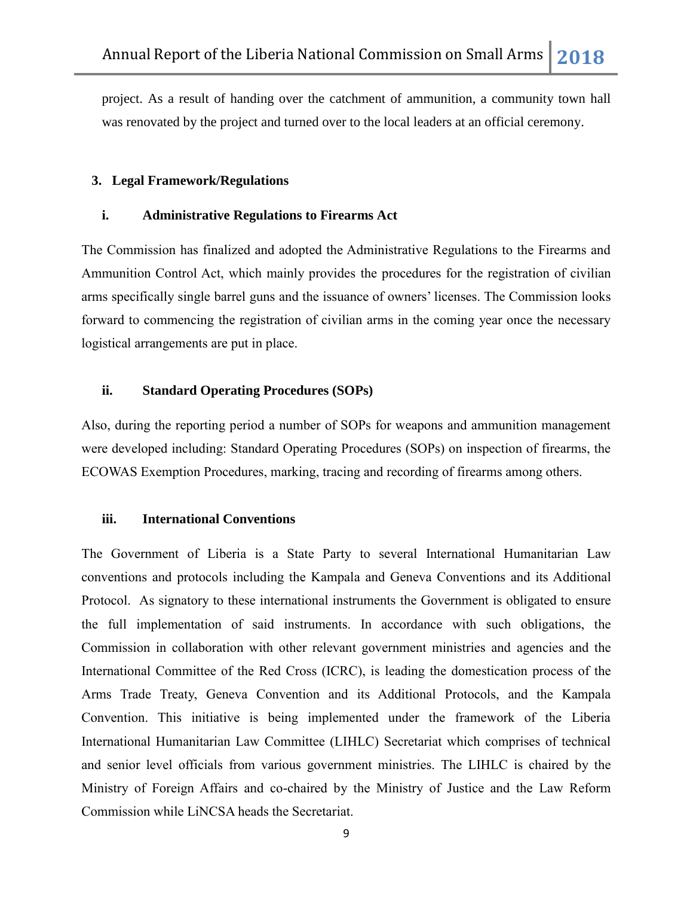project. As a result of handing over the catchment of ammunition, a community town hall was renovated by the project and turned over to the local leaders at an official ceremony.

## **3. Legal Framework/Regulations**

#### **i. Administrative Regulations to Firearms Act**

The Commission has finalized and adopted the Administrative Regulations to the Firearms and Ammunition Control Act, which mainly provides the procedures for the registration of civilian arms specifically single barrel guns and the issuance of owners' licenses. The Commission looks forward to commencing the registration of civilian arms in the coming year once the necessary logistical arrangements are put in place.

#### **ii. Standard Operating Procedures (SOPs)**

Also, during the reporting period a number of SOPs for weapons and ammunition management were developed including: Standard Operating Procedures (SOPs) on inspection of firearms, the ECOWAS Exemption Procedures, marking, tracing and recording of firearms among others.

#### **iii. International Conventions**

The Government of Liberia is a State Party to several International Humanitarian Law conventions and protocols including the Kampala and Geneva Conventions and its Additional Protocol. As signatory to these international instruments the Government is obligated to ensure the full implementation of said instruments. In accordance with such obligations, the Commission in collaboration with other relevant government ministries and agencies and the International Committee of the Red Cross (ICRC), is leading the domestication process of the Arms Trade Treaty, Geneva Convention and its Additional Protocols, and the Kampala Convention. This initiative is being implemented under the framework of the Liberia International Humanitarian Law Committee (LIHLC) Secretariat which comprises of technical and senior level officials from various government ministries. The LIHLC is chaired by the Ministry of Foreign Affairs and co-chaired by the Ministry of Justice and the Law Reform Commission while LiNCSA heads the Secretariat.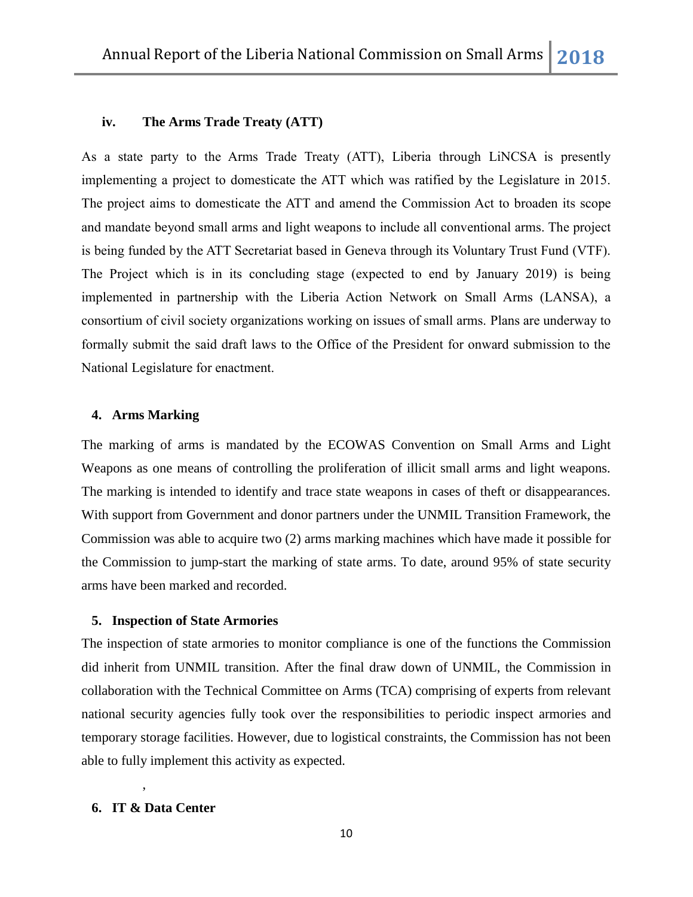## **iv. The Arms Trade Treaty (ATT)**

As a state party to the Arms Trade Treaty (ATT), Liberia through LiNCSA is presently implementing a project to domesticate the ATT which was ratified by the Legislature in 2015. The project aims to domesticate the ATT and amend the Commission Act to broaden its scope and mandate beyond small arms and light weapons to include all conventional arms. The project is being funded by the ATT Secretariat based in Geneva through its Voluntary Trust Fund (VTF). The Project which is in its concluding stage (expected to end by January 2019) is being implemented in partnership with the Liberia Action Network on Small Arms (LANSA), a consortium of civil society organizations working on issues of small arms. Plans are underway to formally submit the said draft laws to the Office of the President for onward submission to the National Legislature for enactment.

## **4. Arms Marking**

The marking of arms is mandated by the ECOWAS Convention on Small Arms and Light Weapons as one means of controlling the proliferation of illicit small arms and light weapons. The marking is intended to identify and trace state weapons in cases of theft or disappearances. With support from Government and donor partners under the UNMIL Transition Framework, the Commission was able to acquire two (2) arms marking machines which have made it possible for the Commission to jump-start the marking of state arms. To date, around 95% of state security arms have been marked and recorded.

#### **5. Inspection of State Armories**

The inspection of state armories to monitor compliance is one of the functions the Commission did inherit from UNMIL transition. After the final draw down of UNMIL, the Commission in collaboration with the Technical Committee on Arms (TCA) comprising of experts from relevant national security agencies fully took over the responsibilities to periodic inspect armories and temporary storage facilities. However, due to logistical constraints, the Commission has not been able to fully implement this activity as expected.

#### **6. IT & Data Center**

,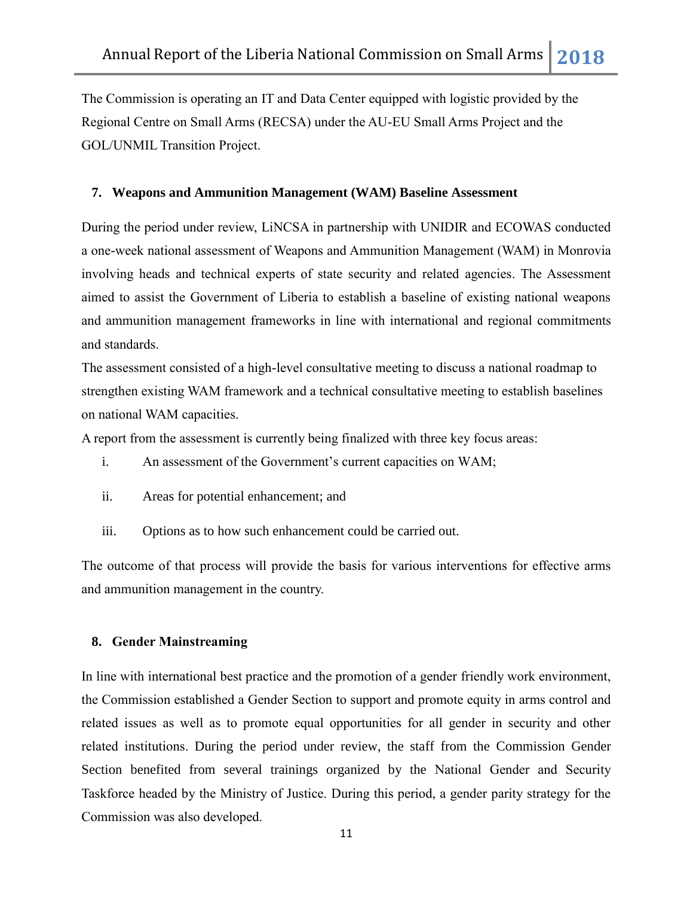The Commission is operating an IT and Data Center equipped with logistic provided by the Regional Centre on Small Arms (RECSA) under the AU-EU Small Arms Project and the GOL/UNMIL Transition Project.

## **7. Weapons and Ammunition Management (WAM) Baseline Assessment**

During the period under review, LiNCSA in partnership with UNIDIR and ECOWAS conducted a one-week national assessment of Weapons and Ammunition Management (WAM) in Monrovia involving heads and technical experts of state security and related agencies. The Assessment aimed to assist the Government of Liberia to establish a baseline of existing national weapons and ammunition management frameworks in line with international and regional commitments and standards.

The assessment consisted of a high-level consultative meeting to discuss a national roadmap to strengthen existing WAM framework and a technical consultative meeting to establish baselines on national WAM capacities.

A report from the assessment is currently being finalized with three key focus areas:

- i. An assessment of the Government's current capacities on WAM;
- ii. Areas for potential enhancement; and
- iii. Options as to how such enhancement could be carried out.

The outcome of that process will provide the basis for various interventions for effective arms and ammunition management in the country.

## **8. Gender Mainstreaming**

In line with international best practice and the promotion of a gender friendly work environment, the Commission established a Gender Section to support and promote equity in arms control and related issues as well as to promote equal opportunities for all gender in security and other related institutions. During the period under review, the staff from the Commission Gender Section benefited from several trainings organized by the National Gender and Security Taskforce headed by the Ministry of Justice. During this period, a gender parity strategy for the Commission was also developed.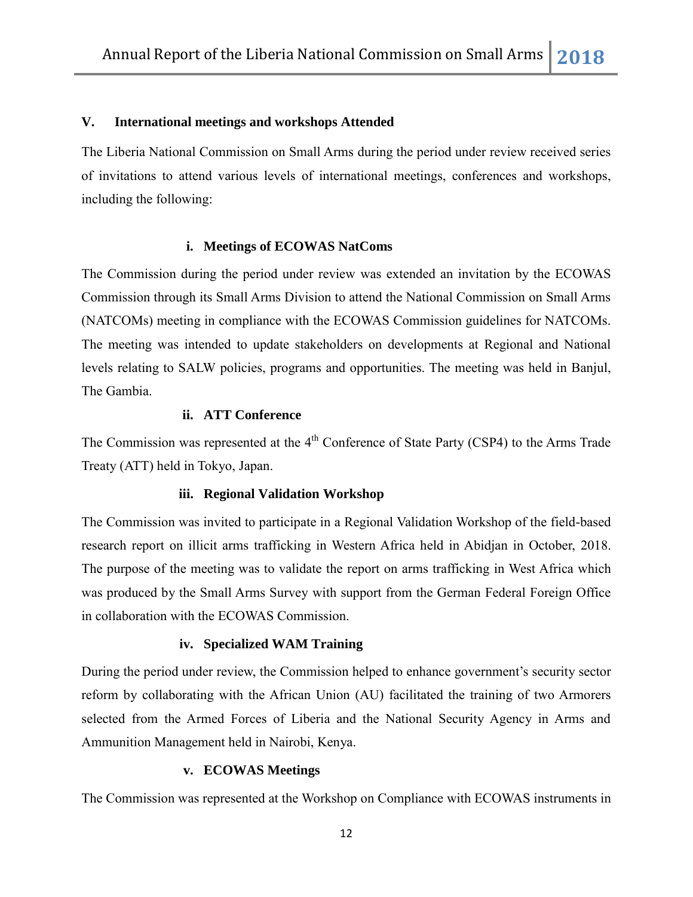## **V. International meetings and workshops Attended**

The Liberia National Commission on Small Arms during the period under review received series of invitations to attend various levels of international meetings, conferences and workshops, including the following:

#### **i. Meetings of ECOWAS NatComs**

The Commission during the period under review was extended an invitation by the ECOWAS Commission through its Small Arms Division to attend the National Commission on Small Arms (NATCOMs) meeting in compliance with the ECOWAS Commission guidelines for NATCOMs. The meeting was intended to update stakeholders on developments at Regional and National levels relating to SALW policies, programs and opportunities. The meeting was held in Banjul, The Gambia.

## **ii. ATT Conference**

The Commission was represented at the  $4<sup>th</sup>$  Conference of State Party (CSP4) to the Arms Trade Treaty (ATT) held in Tokyo, Japan.

## **iii. Regional Validation Workshop**

The Commission was invited to participate in a Regional Validation Workshop of the field-based research report on illicit arms trafficking in Western Africa held in Abidjan in October, 2018. The purpose of the meeting was to validate the report on arms trafficking in West Africa which was produced by the Small Arms Survey with support from the German Federal Foreign Office in collaboration with the ECOWAS Commission.

## **iv. Specialized WAM Training**

During the period under review, the Commission helped to enhance government's security sector reform by collaborating with the African Union (AU) facilitated the training of two Armorers selected from the Armed Forces of Liberia and the National Security Agency in Arms and Ammunition Management held in Nairobi, Kenya.

#### **v. ECOWAS Meetings**

The Commission was represented at the Workshop on Compliance with ECOWAS instruments in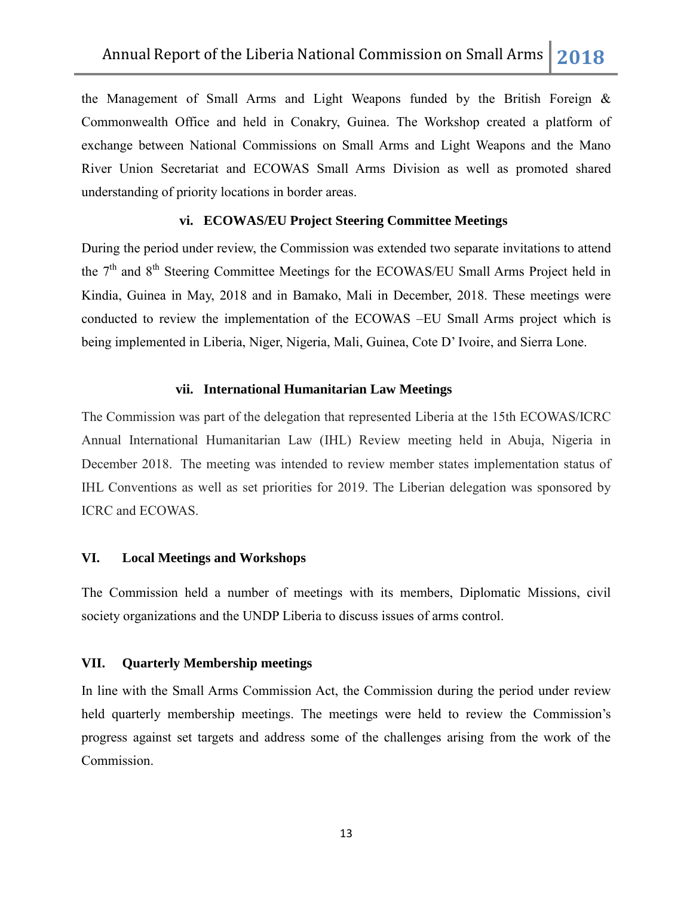the Management of Small Arms and Light Weapons funded by the British Foreign & Commonwealth Office and held in Conakry, Guinea. The Workshop created a platform of exchange between National Commissions on Small Arms and Light Weapons and the Mano River Union Secretariat and ECOWAS Small Arms Division as well as promoted shared understanding of priority locations in border areas.

## **vi. ECOWAS/EU Project Steering Committee Meetings**

During the period under review, the Commission was extended two separate invitations to attend the 7<sup>th</sup> and 8<sup>th</sup> Steering Committee Meetings for the ECOWAS/EU Small Arms Project held in Kindia, Guinea in May, 2018 and in Bamako, Mali in December, 2018. These meetings were conducted to review the implementation of the ECOWAS –EU Small Arms project which is being implemented in Liberia, Niger, Nigeria, Mali, Guinea, Cote D" Ivoire, and Sierra Lone.

#### **vii. International Humanitarian Law Meetings**

The Commission was part of the delegation that represented Liberia at the 15th ECOWAS/ICRC Annual International Humanitarian Law (IHL) Review meeting held in Abuja, Nigeria in December 2018. The meeting was intended to review member states implementation status of IHL Conventions as well as set priorities for 2019. The Liberian delegation was sponsored by ICRC and ECOWAS.

## **VI. Local Meetings and Workshops**

The Commission held a number of meetings with its members, Diplomatic Missions, civil society organizations and the UNDP Liberia to discuss issues of arms control.

#### **VII. Quarterly Membership meetings**

In line with the Small Arms Commission Act, the Commission during the period under review held quarterly membership meetings. The meetings were held to review the Commission's progress against set targets and address some of the challenges arising from the work of the Commission.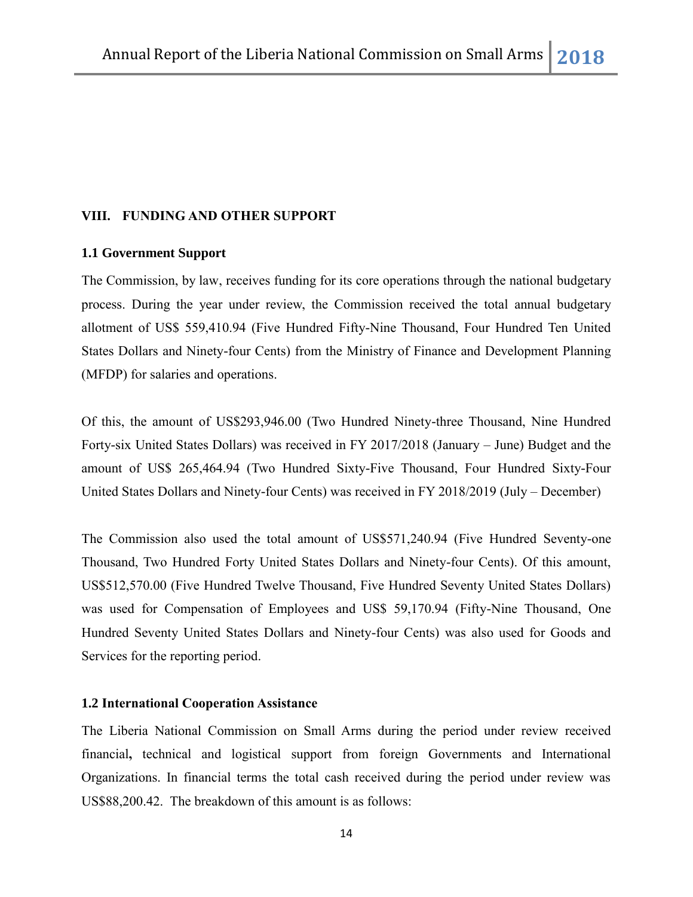## **VIII. FUNDING AND OTHER SUPPORT**

## **1.1 Government Support**

The Commission, by law, receives funding for its core operations through the national budgetary process. During the year under review, the Commission received the total annual budgetary allotment of US\$ 559,410.94 (Five Hundred Fifty-Nine Thousand, Four Hundred Ten United States Dollars and Ninety-four Cents) from the Ministry of Finance and Development Planning (MFDP) for salaries and operations.

Of this, the amount of US\$293,946.00 (Two Hundred Ninety-three Thousand, Nine Hundred Forty-six United States Dollars) was received in FY 2017/2018 (January – June) Budget and the amount of US\$ 265,464.94 (Two Hundred Sixty-Five Thousand, Four Hundred Sixty-Four United States Dollars and Ninety-four Cents) was received in FY 2018/2019 (July – December)

The Commission also used the total amount of US\$571,240.94 (Five Hundred Seventy-one Thousand, Two Hundred Forty United States Dollars and Ninety-four Cents). Of this amount, US\$512,570.00 (Five Hundred Twelve Thousand, Five Hundred Seventy United States Dollars) was used for Compensation of Employees and US\$ 59,170.94 (Fifty-Nine Thousand, One Hundred Seventy United States Dollars and Ninety-four Cents) was also used for Goods and Services for the reporting period.

## **1.2 International Cooperation Assistance**

The Liberia National Commission on Small Arms during the period under review received financial**,** technical and logistical support from foreign Governments and International Organizations. In financial terms the total cash received during the period under review was US\$88,200.42. The breakdown of this amount is as follows: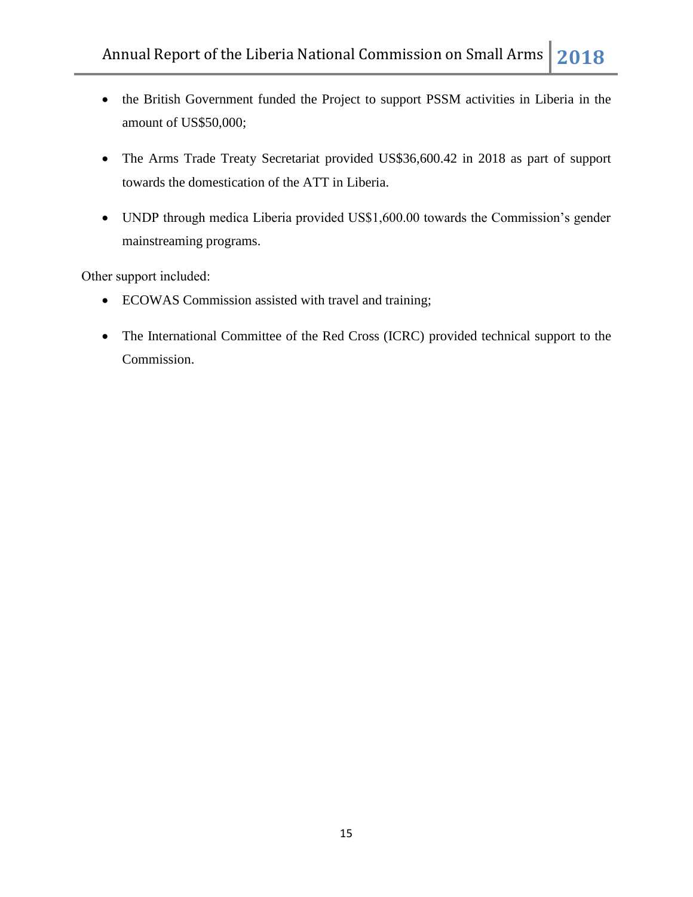- the British Government funded the Project to support PSSM activities in Liberia in the amount of US\$50,000;
- The Arms Trade Treaty Secretariat provided US\$36,600.42 in 2018 as part of support towards the domestication of the ATT in Liberia.
- UNDP through medica Liberia provided US\$1,600.00 towards the Commission's gender mainstreaming programs.

Other support included:

- ECOWAS Commission assisted with travel and training;
- The International Committee of the Red Cross (ICRC) provided technical support to the Commission.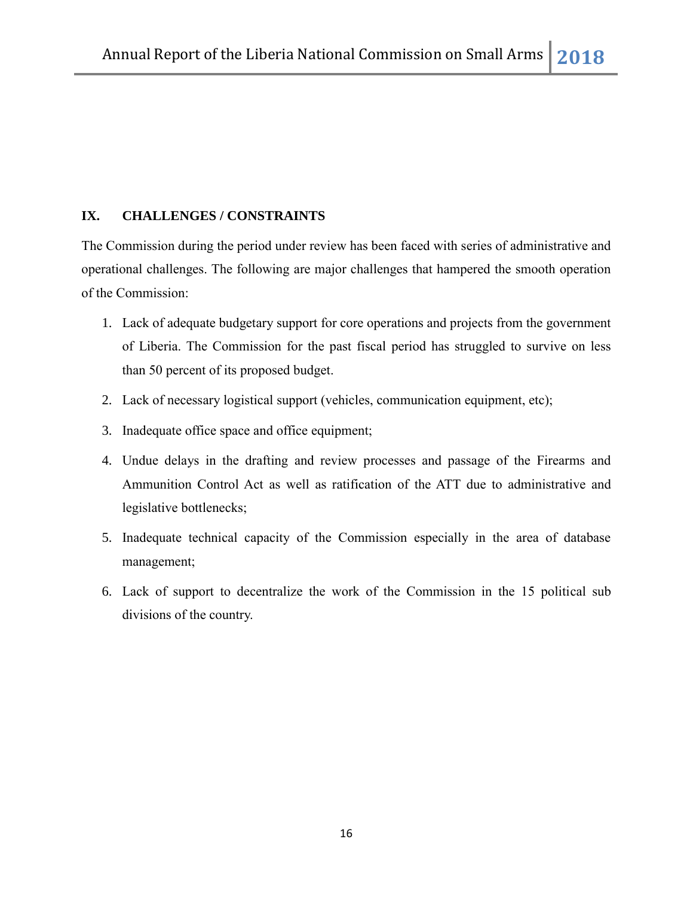# **IX. CHALLENGES / CONSTRAINTS**

The Commission during the period under review has been faced with series of administrative and operational challenges. The following are major challenges that hampered the smooth operation of the Commission:

- 1. Lack of adequate budgetary support for core operations and projects from the government of Liberia. The Commission for the past fiscal period has struggled to survive on less than 50 percent of its proposed budget.
- 2. Lack of necessary logistical support (vehicles, communication equipment, etc);
- 3. Inadequate office space and office equipment;
- 4. Undue delays in the drafting and review processes and passage of the Firearms and Ammunition Control Act as well as ratification of the ATT due to administrative and legislative bottlenecks;
- 5. Inadequate technical capacity of the Commission especially in the area of database management;
- 6. Lack of support to decentralize the work of the Commission in the 15 political sub divisions of the country.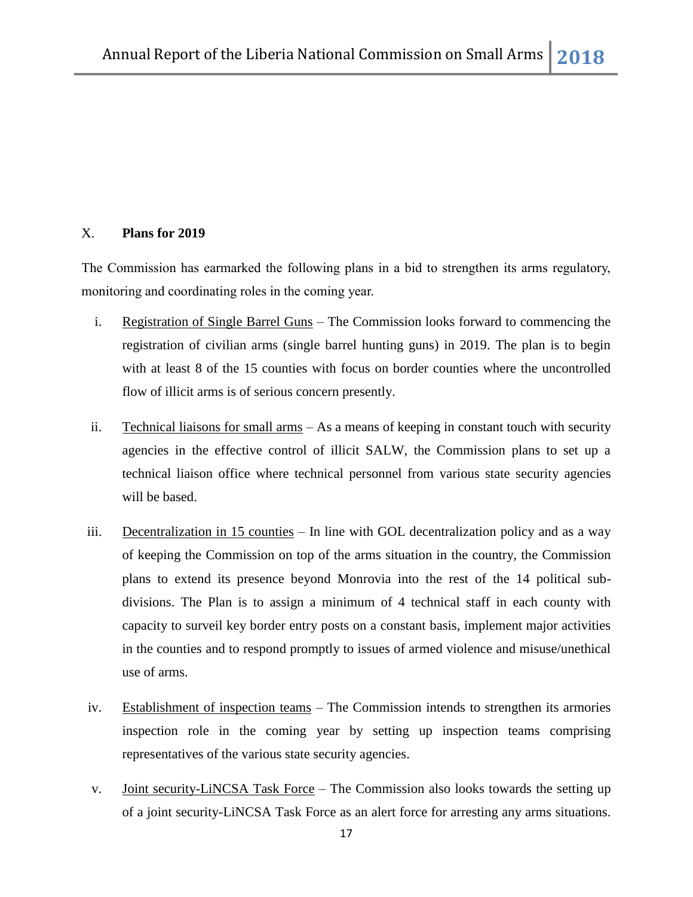# X. **Plans for 2019**

The Commission has earmarked the following plans in a bid to strengthen its arms regulatory, monitoring and coordinating roles in the coming year.

- i. Registration of Single Barrel Guns The Commission looks forward to commencing the registration of civilian arms (single barrel hunting guns) in 2019. The plan is to begin with at least 8 of the 15 counties with focus on border counties where the uncontrolled flow of illicit arms is of serious concern presently.
- ii. Technical liaisons for small arms As a means of keeping in constant touch with security agencies in the effective control of illicit SALW, the Commission plans to set up a technical liaison office where technical personnel from various state security agencies will be based.
- iii. Decentralization in 15 counties In line with GOL decentralization policy and as a way of keeping the Commission on top of the arms situation in the country, the Commission plans to extend its presence beyond Monrovia into the rest of the 14 political subdivisions. The Plan is to assign a minimum of 4 technical staff in each county with capacity to surveil key border entry posts on a constant basis, implement major activities in the counties and to respond promptly to issues of armed violence and misuse/unethical use of arms.
- iv. Establishment of inspection teams The Commission intends to strengthen its armories inspection role in the coming year by setting up inspection teams comprising representatives of the various state security agencies.
- v. Joint security-LiNCSA Task Force The Commission also looks towards the setting up of a joint security-LiNCSA Task Force as an alert force for arresting any arms situations.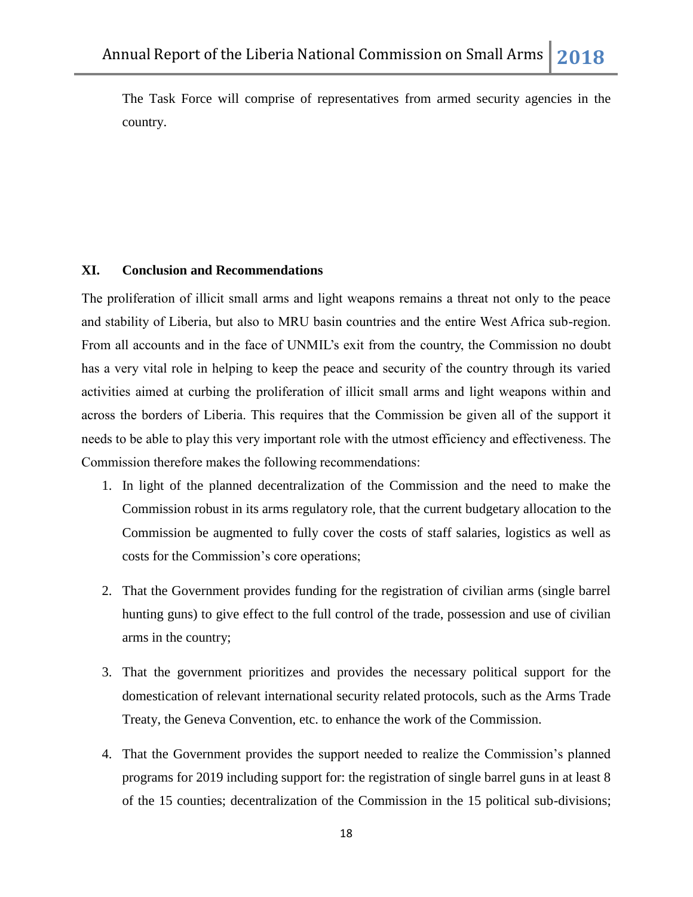The Task Force will comprise of representatives from armed security agencies in the country.

## **XI. Conclusion and Recommendations**

The proliferation of illicit small arms and light weapons remains a threat not only to the peace and stability of Liberia, but also to MRU basin countries and the entire West Africa sub-region. From all accounts and in the face of UNMIL's exit from the country, the Commission no doubt has a very vital role in helping to keep the peace and security of the country through its varied activities aimed at curbing the proliferation of illicit small arms and light weapons within and across the borders of Liberia. This requires that the Commission be given all of the support it needs to be able to play this very important role with the utmost efficiency and effectiveness. The Commission therefore makes the following recommendations:

- 1. In light of the planned decentralization of the Commission and the need to make the Commission robust in its arms regulatory role, that the current budgetary allocation to the Commission be augmented to fully cover the costs of staff salaries, logistics as well as costs for the Commission's core operations;
- 2. That the Government provides funding for the registration of civilian arms (single barrel hunting guns) to give effect to the full control of the trade, possession and use of civilian arms in the country;
- 3. That the government prioritizes and provides the necessary political support for the domestication of relevant international security related protocols, such as the Arms Trade Treaty, the Geneva Convention, etc. to enhance the work of the Commission.
- 4. That the Government provides the support needed to realize the Commission"s planned programs for 2019 including support for: the registration of single barrel guns in at least 8 of the 15 counties; decentralization of the Commission in the 15 political sub-divisions;